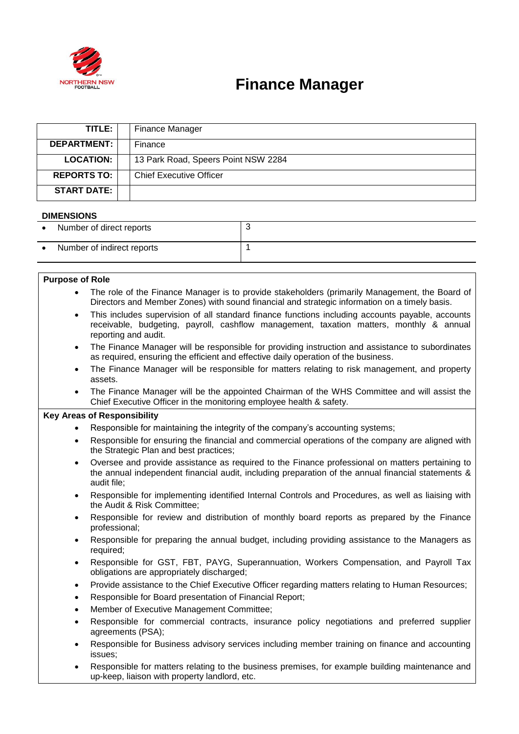

# **Finance Manager**

| TITLE:             | Finance Manager                     |
|--------------------|-------------------------------------|
| <b>DEPARTMENT:</b> | Finance                             |
| <b>LOCATION:</b>   | 13 Park Road, Speers Point NSW 2284 |
| <b>REPORTS TO:</b> | <b>Chief Executive Officer</b>      |
| <b>START DATE:</b> |                                     |

### **DIMENSIONS**

| _ _ _ _ _ _ _ _ _ _ _ _ _ _ |                            |  |  |
|-----------------------------|----------------------------|--|--|
|                             | Number of direct reports   |  |  |
|                             | Number of indirect reports |  |  |

#### **Purpose of Role**

- The role of the Finance Manager is to provide stakeholders (primarily Management, the Board of Directors and Member Zones) with sound financial and strategic information on a timely basis.
- This includes supervision of all standard finance functions including accounts payable, accounts receivable, budgeting, payroll, cashflow management, taxation matters, monthly & annual reporting and audit.
- The Finance Manager will be responsible for providing instruction and assistance to subordinates as required, ensuring the efficient and effective daily operation of the business.
- The Finance Manager will be responsible for matters relating to risk management, and property assets.
- The Finance Manager will be the appointed Chairman of the WHS Committee and will assist the Chief Executive Officer in the monitoring employee health & safety.

### **Key Areas of Responsibility**

- Responsible for maintaining the integrity of the company's accounting systems;
- Responsible for ensuring the financial and commercial operations of the company are aligned with the Strategic Plan and best practices;
- Oversee and provide assistance as required to the Finance professional on matters pertaining to the annual independent financial audit, including preparation of the annual financial statements & audit file;
- Responsible for implementing identified Internal Controls and Procedures, as well as liaising with the Audit & Risk Committee;
- Responsible for review and distribution of monthly board reports as prepared by the Finance professional;
- Responsible for preparing the annual budget, including providing assistance to the Managers as required;
- Responsible for GST, FBT, PAYG, Superannuation, Workers Compensation, and Payroll Tax obligations are appropriately discharged;
- Provide assistance to the Chief Executive Officer regarding matters relating to Human Resources;
- Responsible for Board presentation of Financial Report;
- Member of Executive Management Committee;
- Responsible for commercial contracts, insurance policy negotiations and preferred supplier agreements (PSA);
- Responsible for Business advisory services including member training on finance and accounting issues;
- Responsible for matters relating to the business premises, for example building maintenance and up-keep, liaison with property landlord, etc.